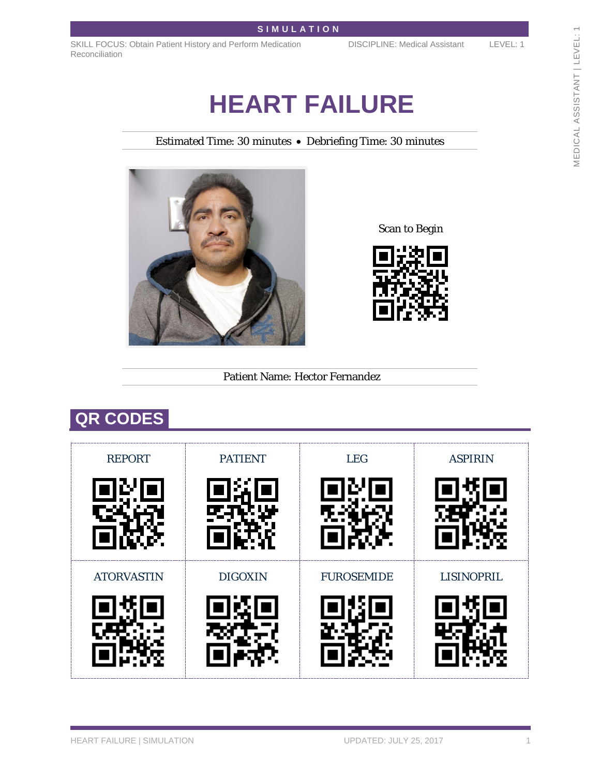SKILL FOCUS: Obtain Patient History and Perform Medication Reconciliation

DISCIPLINE: Medical Assistant LEVEL: 1

## **HEART FAILURE**

Estimated Time: 30 minutes • Debriefing Time: 30 minutes



Scan to Begin



Patient Name: Hector Fernandez

## **QR CODES**